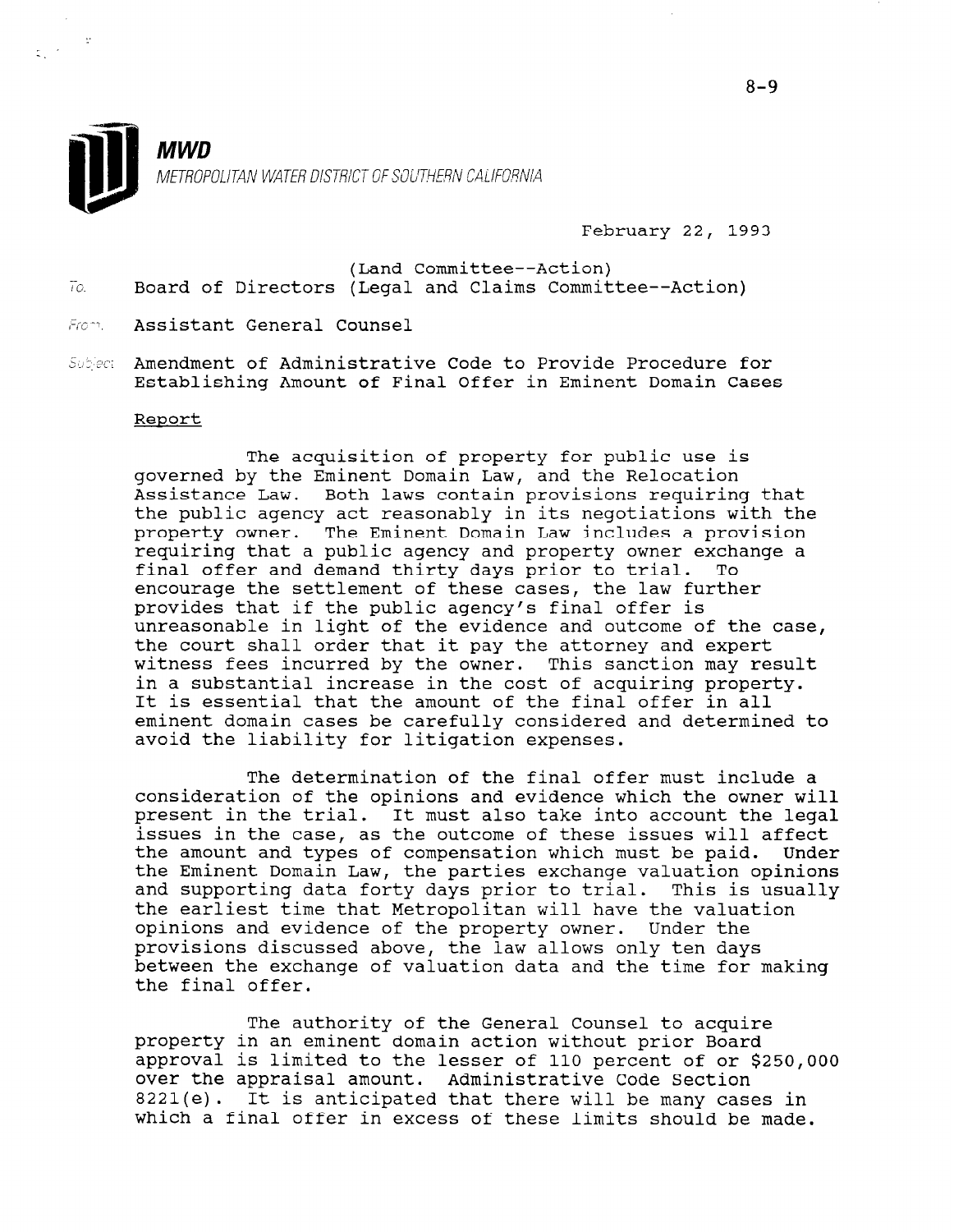

February 22, 1993

- (Land Committee--Action) To. Board of Directors (Legal and Claims Committee--Action)
- From. Assistant General Counsel
- Subject Amendment of Administrative Code to Provide Procedure for Establishing Amount of Final Offer in Eminent Domain Cases

#### Report

The acquisition of property for public use is governed by the Eminent Domain Law, and the Relocation Assistance Law. Both laws contain provisions requiring that the public agency act reasonably in its negotiations with the property owner. The Eminent Domain Law includes a provision requiring that a public agency and property owner exchange a final offer and demand thirty days prior to trial. To encourage the settlement of these cases, the law further provides that if the public agency's final offer is unreasonable in light of the evidence and outcome of the case, the court shall order that it pay the attorney and expert witness fees incurred by the owner. This sanction may result in a substantial increase in the cost of acquiring property. It is essential that the amount of the final offer in all eminent domain cases be carefully considered and determined to avoid the liability for litigation expenses.

The determination of the final offer must include a consideration of the opinions and evidence which the owner will present in the trial. It must also take into account the legal issues in the case, as the outcome of these issues will affect the amount and types of compensation which must be paid. Under the Eminent Domain Law, the parties exchange valuation opinions and supporting data forty days prior to trial. This is usually the earliest time that Metropolitan will have the valuation opinions and evidence of the property owner. Under the provisions discussed above, the law allows only ten days between the exchange of valuation data and the time for making the final offer.

The authority of the General Counsel to acquire property in an eminent domain action without prior Board approval is limited to the lesser of 110 percent of or \$250,000 approval is filmited to the fesser of the percent of one over the appraisal amount. Administrative Code Section 8221(e). It is anticipated that there will be many cases in which a final offer in excess of these limits should be made.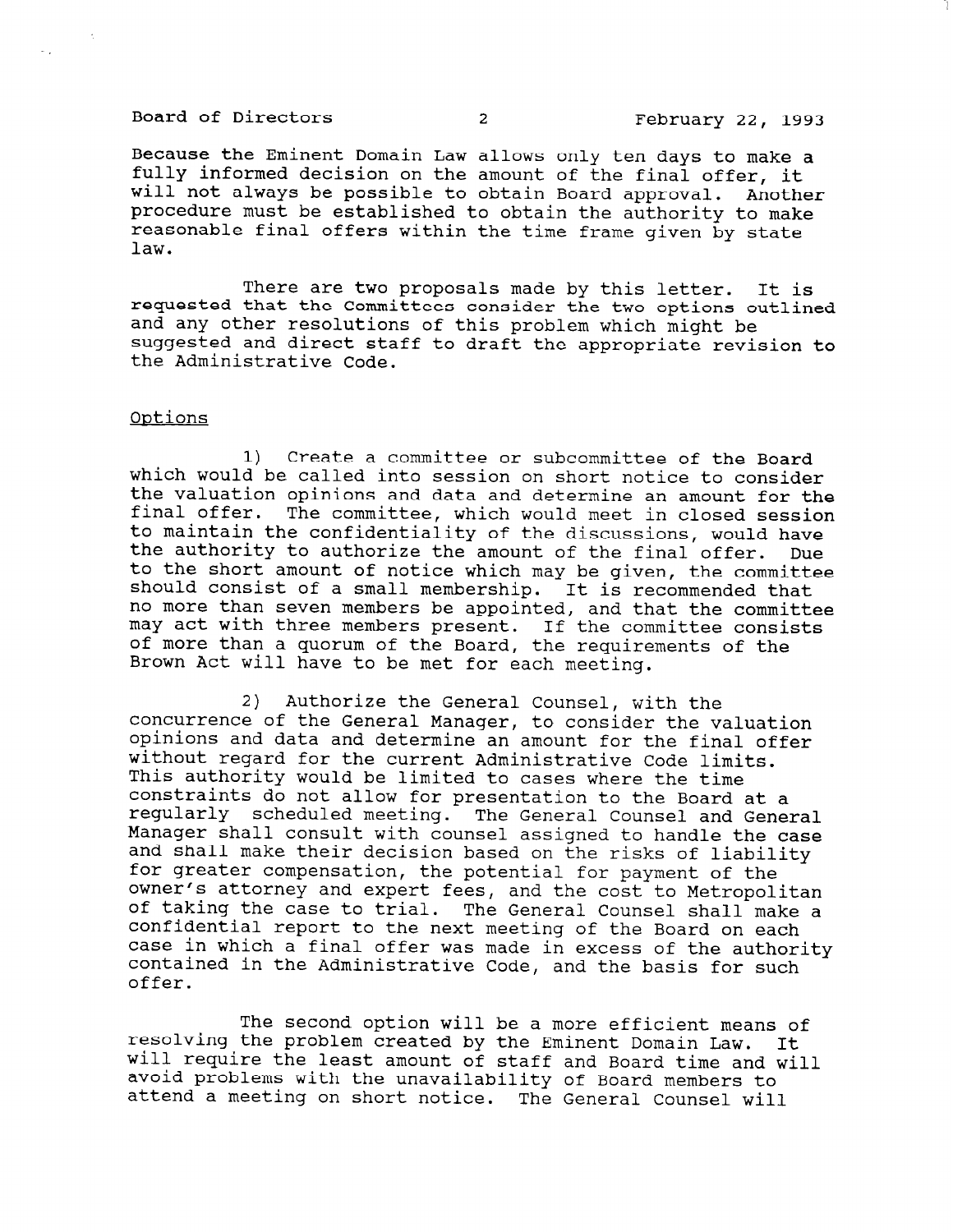# Board of Directors 2 2 February 22, 1993

Because the Eminent Domain Law allows only ten days to make a fully informed decision on the amount of the final offer, it will not always be possible to obtain Board approval. Another procedure must be established to obtain the authority to make reasonable final offers within the time frame given by state law.

There are two proposals made by this letter. It is requested that the Committees consider the two options outlined and any other resolutions of this problem which might be suggested and direct staff to draft the appropriate revision to the Administrative Code.

#### Ontions

 $\ddot{\phantom{a}}$ 

1) Create a committee or subcommittee of the Board which would be called into session on short notice to consider the valuation opinions and data and determine an amount for the final offer. The committee, which would meet in closed session to maintain the confidentiality of the discussions, would have the authority to authorize the amount of the final offer. Due to the short amount of notice which may be given, the committee should consist of a small membership. It is recommended that no more than seven members be appointed, and that the committee may act with three members present. If the committee consists of more than a quorum of the Board, the requirements of the Brown Act will have to be met for each meeting.

2) Authorize the General Counsel, with the concurrence of the General Manager, with the valuation concurrence or the deneral manager, to consider the variation opinions and data and determine an amount for the final offer without regard for the current Administrative Code limits. This authority would be limited to cases where the time inis authority would be finited to cases where the time constraints do not affow for presentation to the Board at a regularly scheduled meeting. The General Counsel and General Manager shall consult with counsel assigned to handle the case<br>and shall make their decision based on the risks of liability and shall make their decision based on the risks of flabil<br>for greater compensation, the potential for payment of the our greater compensation, the po owner is accorded and experience and the cost to Metropoli es, and the Cost to Metropolitan<br>The General Gave also in its of caring the case to trial. The General Counsel shall make confidential report to the next meeting of the Board on each case in which a final offer was made in excess of the authority contained in the Administrative Code, and the basis for such offer.

The second option will be a more efficient means of rne second option will be a more efficient means resorving the problem created by the Eminent Domain Law. It will require the least amount of staff and Board time and avoid problems with the unavailability of Board members to<br>attend a meeting on short notice. The General Counsel will